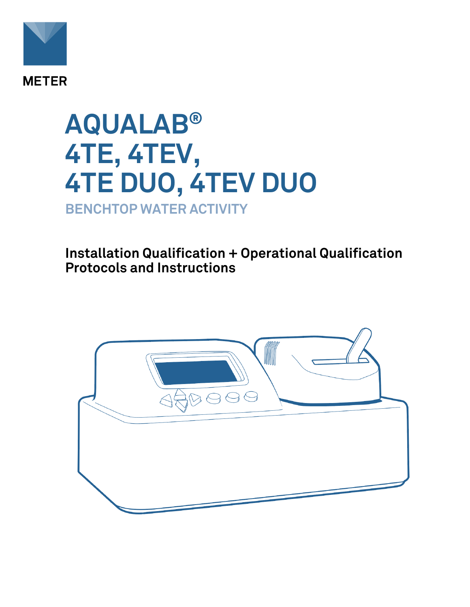

# **AQUALAB® 4TE, 4TEV, 4TE DUO, 4TEV DUO BENCHTOP WATER ACTIVITY**

**Installation Qualification + Operational Qualification Protocols and Instructions**

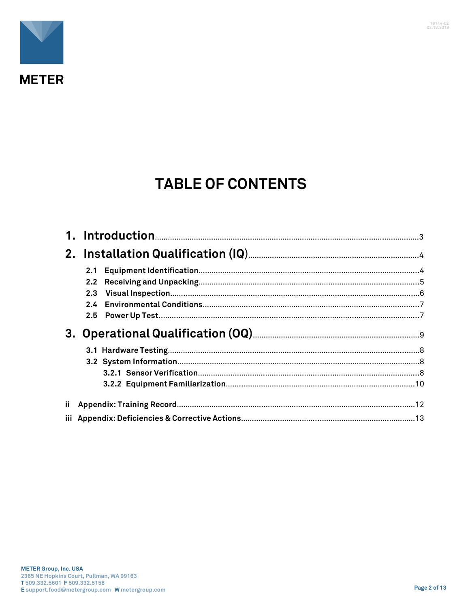

## **TABLE OF CONTENTS**

|      | 2.1 |  |
|------|-----|--|
|      |     |  |
|      | 2.3 |  |
|      | 2.4 |  |
|      |     |  |
|      |     |  |
|      |     |  |
|      |     |  |
|      |     |  |
|      |     |  |
| ii - |     |  |
|      |     |  |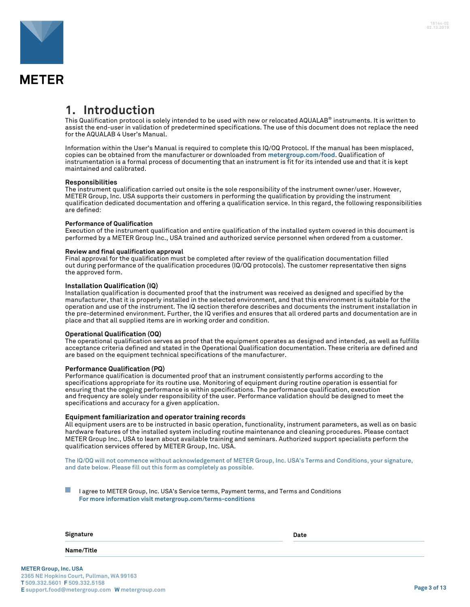

### **1. Introduction**

This Qualification protocol is solely intended to be used with new or relocated AQUALAB® instruments. It is written to assist the end-user in validation of predetermined specifications. The use of this document does not replace the need for the AQUALAB 4 User's Manual.

Information within the User's Manual is required to complete this IQ/OQ Protocol. If the manual has been misplaced, copies can be obtained from the manufacturer or downloaded from **metergroup.com/food**. Qualification of instrumentation is a formal process of documenting that an instrument is fit for its intended use and that it is kept maintained and calibrated.

#### **Responsibilities**

The instrument qualification carried out onsite is the sole responsibility of the instrument owner/user. However, METER Group, Inc. USA supports their customers in performing the qualification by providing the instrument qualification dedicated documentation and offering a qualification service. In this regard, the following responsibilities are defined:

#### **Performance of Qualification**

Execution of the instrument qualification and entire qualification of the installed system covered in this document is performed by a METER Group Inc., USA trained and authorized service personnel when ordered from a customer.

#### **Review and final qualification approval**

Final approval for the qualification must be completed after review of the qualification documentation filled out during performance of the qualification procedures (IQ/OQ protocols). The customer representative then signs the approved form.

#### **Installation Qualification (IQ)**

Installation qualification is documented proof that the instrument was received as designed and specified by the manufacturer, that it is properly installed in the selected environment, and that this environment is suitable for the operation and use of the instrument. The IQ section therefore describes and documents the instrument installation in the pre-determined environment. Further, the IQ verifies and ensures that all ordered parts and documentation are in place and that all supplied items are in working order and condition.

#### **Operational Qualification (OQ)**

The operational qualification serves as proof that the equipment operates as designed and intended, as well as fulfills acceptance criteria defined and stated in the Operational Qualification documentation. These criteria are defined and are based on the equipment technical specifications of the manufacturer.

#### **Performance Qualification (PQ)**

Performance qualification is documented proof that an instrument consistently performs according to the specifications appropriate for its routine use. Monitoring of equipment during routine operation is essential for ensuring that the ongoing performance is within specifications. The performance qualification, execution and frequency are solely under responsibility of the user. Performance validation should be designed to meet the specifications and accuracy for a given application.

#### **Equipment familiarization and operator training records**

All equipment users are to be instructed in basic operation, functionality, instrument parameters, as well as on basic hardware features of the installed system including routine maintenance and cleaning procedures. Please contact METER Group Inc., USA to learn about available training and seminars. Authorized support specialists perform the qualification services offered by METER Group, Inc. USA.

The IQ/OQ will not commence without acknowledgement of METER Group, Inc. USA's Terms and Conditions, your signature, and date below. Please fill out this form as completely as possible.

**Tal** I agree to METER Group, Inc. USA's Service terms, Payment terms, and Terms and Conditions **For more information visit metergroup.com/terms-conditions**

**Signature Date** 

#### **Name/Title**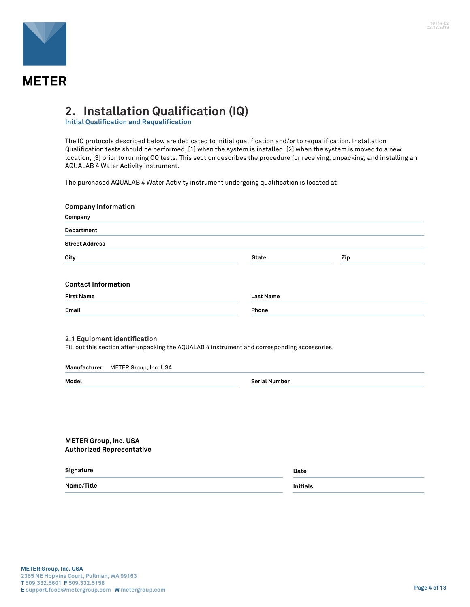

### **2. Installation Qualification (IQ)**

**Initial Qualification and Requalification**

The IQ protocols described below are dedicated to initial qualification and/or to requalification. Installation Qualification tests should be performed, [1] when the system is installed, [2] when the system is moved to a new location, [3] prior to running OQ tests. This section describes the procedure for receiving, unpacking, and installing an AQUALAB 4 Water Activity instrument.

The purchased AQUALAB 4 Water Activity instrument undergoing qualification is located at:

| <b>Company Information</b>                                                                    |                      |     |
|-----------------------------------------------------------------------------------------------|----------------------|-----|
| Company                                                                                       |                      |     |
| Department                                                                                    |                      |     |
| <b>Street Address</b>                                                                         |                      |     |
| City                                                                                          | <b>State</b>         | Zip |
| <b>Contact Information</b>                                                                    |                      |     |
| <b>First Name</b>                                                                             | <b>Last Name</b>     |     |
| Email                                                                                         | Phone                |     |
| Fill out this section after unpacking the AQUALAB 4 instrument and corresponding accessories. |                      |     |
| Manufacturer<br>METER Group, Inc. USA<br>Model                                                | <b>Serial Number</b> |     |
|                                                                                               |                      |     |
| <b>METER Group, Inc. USA</b><br><b>Authorized Representative</b>                              |                      |     |
| Signature                                                                                     | Date                 |     |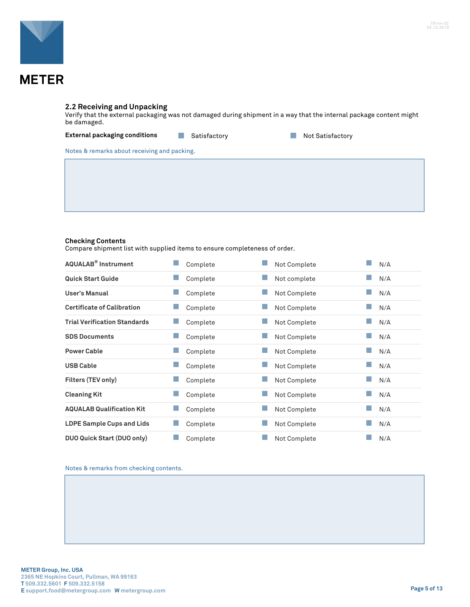

#### **2.2 Receiving and Unpacking**

Verify that the external packaging was not damaged during shipment in a way that the internal package content might be damaged.

#### **External packaging conditions Not Satisfactory Not Satisfactory Not Satisfactory**

Notes & remarks about receiving and packing.

#### **Checking Contents**

Compare shipment list with supplied items to ensure completeness of order.

| <b>AQUALAB<sup>®</sup></b> Instrument | Complete | Not Complete | N/A |
|---------------------------------------|----------|--------------|-----|
| <b>Quick Start Guide</b>              | Complete | Not complete | N/A |
| User's Manual                         | Complete | Not Complete | N/A |
| <b>Certificate of Calibration</b>     | Complete | Not Complete | N/A |
| <b>Trial Verification Standards</b>   | Complete | Not Complete | N/A |
| <b>SDS Documents</b>                  | Complete | Not Complete | N/A |
| <b>Power Cable</b>                    | Complete | Not Complete | N/A |
| <b>USB Cable</b>                      | Complete | Not Complete | N/A |
| Filters (TEV only)                    | Complete | Not Complete | N/A |
| <b>Cleaning Kit</b>                   | Complete | Not Complete | N/A |
| <b>AQUALAB Qualification Kit</b>      | Complete | Not Complete | N/A |
| <b>LDPE Sample Cups and Lids</b>      | Complete | Not Complete | N/A |
| DUO Quick Start (DUO only)            | Complete | Not Complete | N/A |

Notes & remarks from checking contents.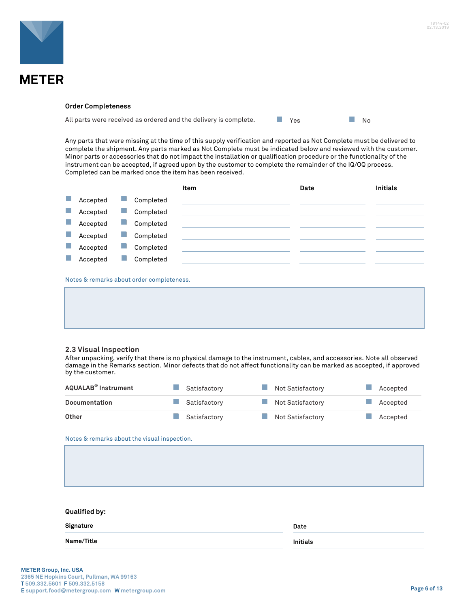



#### **Order Completeness**

All parts were received as ordered and the delivery is complete.  $\blacksquare$  Yes  $\blacksquare$  No

Any parts that were missing at the time of this supply verification and reported as Not Complete must be delivered to complete the shipment. Any parts marked as Not Complete must be indicated below and reviewed with the customer. Minor parts or accessories that do not impact the installation or qualification procedure or the functionality of the instrument can be accepted, if agreed upon by the customer to complete the remainder of the IQ/OQ process. Completed can be marked once the item has been received.

|                |          |   |                                          | Item | Date | <b>Initials</b> |
|----------------|----------|---|------------------------------------------|------|------|-----------------|
| <b>College</b> | Accepted |   | Completed                                |      |      |                 |
| h.             | Accepted | ٠ | Completed                                |      |      |                 |
| r.             | Accepted |   | Completed                                |      |      |                 |
|                | Accepted |   | Completed                                |      |      |                 |
| r.             | Accepted |   | Completed                                |      |      |                 |
|                | Accepted |   | Completed                                |      |      |                 |
|                |          |   |                                          |      |      |                 |
|                |          |   | Notes & remarks about order completeness |      |      |                 |

otes & remarks about order completeness.

#### **2.3 Visual Inspection**

After unpacking, verify that there is no physical damage to the instrument, cables, and accessories. Note all observed damage in the Remarks section. Minor defects that do not affect functionality can be marked as accepted, if approved by the customer.

| AQUALAB® Instrument  | Satisfactory | Not Satisfactory | Accepted |
|----------------------|--------------|------------------|----------|
| <b>Documentation</b> | Satisfactory | Not Satisfactory | Accepted |
| Other                | Satisfactory | Not Satisfactory | Accepted |

Notes & remarks about the visual inspection.

| Qualified by: |      |
|---------------|------|
| Signature     | Date |

**Name/Title Initials**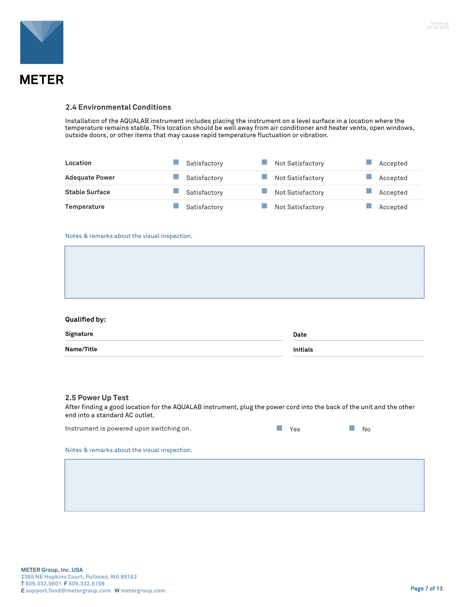

#### **<sup>S</sup>2.4 Environmental Conditions**

Installation of the AQUALAB instrument includes placing the instrument on a level surface in a location where the temperature remains stable. This location should be well away from air conditioner and heater vents, open windows, outside doors, or other items that may cause rapid temperature fluctuation or vibration.

| Location              | Satisfactory | Not Satisfactory | Accepted |
|-----------------------|--------------|------------------|----------|
| <b>Adequate Power</b> | Satisfactory | Not Satisfactory | Accepted |
| <b>Stable Surface</b> | Satisfactory | Not Satisfactory | Accepted |
| Temperature           | Satisfactory | Not Satisfactory | Accepted |

#### Notes & remarks about the visual inspection.

#### **Qualified by:**

| Signature  | Date            |
|------------|-----------------|
| Name/Title | <b>Initials</b> |

#### **2.5 Power Up Test**

After finding a good location for the AQUALAB instrument, plug the power cord into the back of the unit and the other end into a standard AC outlet.

| Instrument is powered upon switching on.     | Yes | No |  |  |  |
|----------------------------------------------|-----|----|--|--|--|
| Notes & remarks about the visual inspection. |     |    |  |  |  |
|                                              |     |    |  |  |  |
|                                              |     |    |  |  |  |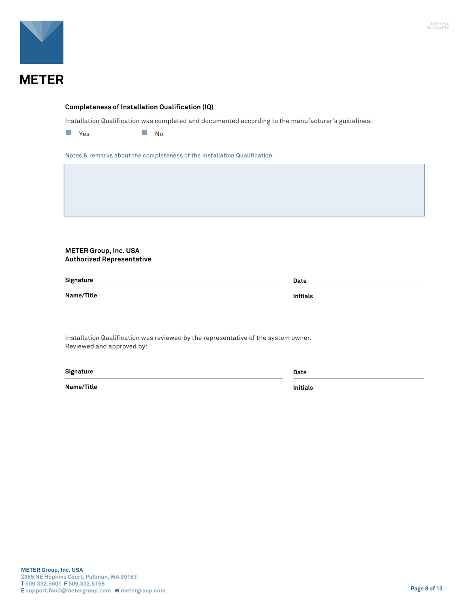

#### **Completeness of Installation Qualification (IQ)**

Installation Qualification was completed and documented according to the manufacturer's guidelines.

**No. 2. In the Second Street Second Street Second Street Second Street Second Street Second Street Second Street Second Street Second Street Second Street Second Street Second Street Second Street Second Street Second Stre** 

Notes & remarks about the completeness of the Installation Qualification.

#### **METER Group, Inc. USA Authorized Representative**

| Signature  | Date            |
|------------|-----------------|
| Name/Title | <b>Initials</b> |

Installation Qualification was reviewed by the representative of the system owner. Reviewed and approved by:

| Signature  | Date            |
|------------|-----------------|
| Name/Title | <b>Initials</b> |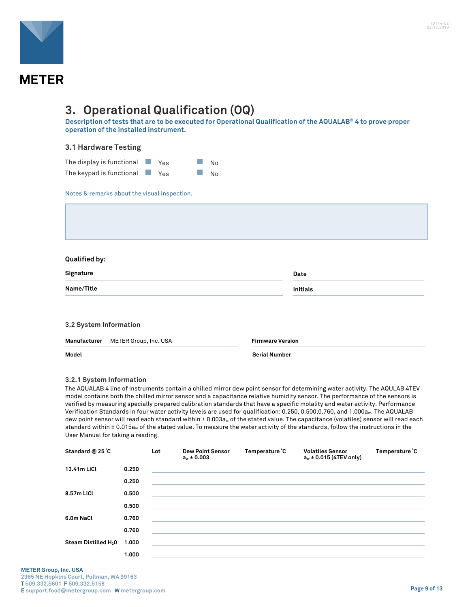

### **3. Operational Qualification (OQ)**

**Description of tests that are to be executed for Operational Qualification of the AQUALAB® 4 to prove proper operation of the installed instrument.**

#### **3.1 Hardware Testing**

| The display is functional $\blacksquare$ Yes |  | $\Box$ No |
|----------------------------------------------|--|-----------|
| The keypad is functional $\blacksquare$ Yes  |  | No        |

Notes & remarks about the visual inspection.

#### **Qualified by:**

| Signature  | Date            |
|------------|-----------------|
| Name/Title | <b>Initials</b> |
|            |                 |

| 3.2 System Information             |                         |  |  |
|------------------------------------|-------------------------|--|--|
| Manufacturer METER Group, Inc. USA | <b>Firmware Version</b> |  |  |
| Model                              | <b>Serial Number</b>    |  |  |

#### **3.2.1 System Information**

The AQUALAB 4 line of instruments contain a chilled mirror dew point sensor for determining water activity. The AQULAB 4TEV model contains both the chilled mirror sensor and a capacitance relative humidity sensor. The performance of the sensors is verified by measuring specially prepared calibration standards that have a specific molality and water activity. Performance Verification Standards in four water activity levels are used for qualification: 0.250, 0.500,0.760, and 1.000aw. The AQUALAB dew point sensor will read each standard within ± 0.003aw of the stated value. The capacitance (volatiles) sensor will read each standard within ± 0.015a<sub>w</sub> of the stated value. To measure the water activity of the standards, follow the instructions in the User Manual for taking a reading.

| Standard @ 25 °C                 |       | Lot | <b>Dew Point Sensor</b><br>$a_w \pm 0.003$ | Temperature °C | <b>Volatiles Sensor</b><br>$a_w \pm 0.015$ (4TEV only) | Temperature °C |
|----------------------------------|-------|-----|--------------------------------------------|----------------|--------------------------------------------------------|----------------|
| 13.41m LiCl                      | 0.250 |     |                                            |                |                                                        |                |
|                                  | 0.250 |     |                                            |                |                                                        |                |
| 8.57m LiCl                       | 0.500 |     |                                            |                |                                                        |                |
|                                  | 0.500 |     |                                            |                |                                                        |                |
| 6.0m NaCl                        | 0.760 |     |                                            |                |                                                        |                |
|                                  | 0.760 |     |                                            |                |                                                        |                |
| Steam Distilled H <sub>2</sub> 0 | 1.000 |     |                                            |                |                                                        |                |
|                                  | 1.000 |     |                                            |                |                                                        |                |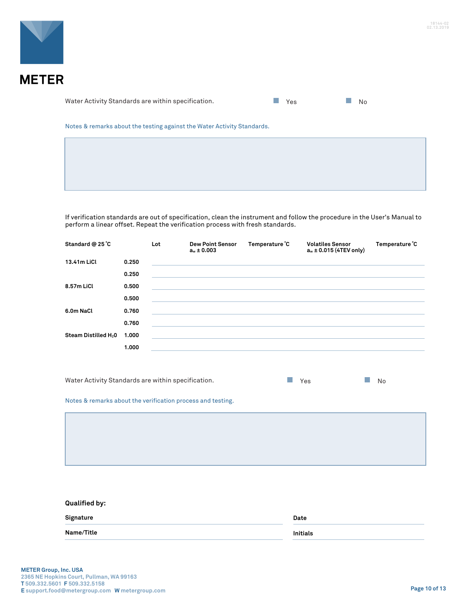

Water Activity Standards are within specification.  $\blacksquare$  Yes  $\blacksquare$  No

| $\sim$ |  |
|--------|--|
|        |  |

Notes & remarks about the testing against the Water Activity Standards.

If verification standards are out of specification, clean the instrument and follow the procedure in the User's Manual to perform a linear offset. Repeat the verification process with fresh standards.

| Standard @ 25 °C                 |       | Lot | <b>Dew Point Sensor</b><br>$a_w \pm 0.003$ | Temperature °C | <b>Volatiles Sensor</b><br>$a_w \pm 0.015$ (4TEV only) | Temperature °C |
|----------------------------------|-------|-----|--------------------------------------------|----------------|--------------------------------------------------------|----------------|
| 13.41m LiCl                      | 0.250 |     |                                            |                |                                                        |                |
|                                  | 0.250 |     |                                            |                |                                                        |                |
| 8.57m LiCl                       | 0.500 |     |                                            |                |                                                        |                |
|                                  | 0.500 |     |                                            |                |                                                        |                |
| 6.0m NaCl                        | 0.760 |     |                                            |                |                                                        |                |
|                                  | 0.760 |     |                                            |                |                                                        |                |
| Steam Distilled H <sub>2</sub> 0 | 1.000 |     |                                            |                |                                                        |                |
|                                  | 1.000 |     |                                            |                |                                                        |                |
|                                  |       |     |                                            |                |                                                        |                |

Water Activity Standards are within specification.  $\blacksquare$  Yes No

Notes & remarks about the verification process and testing.

| <b>Qualified by:</b> |                 |
|----------------------|-----------------|
| Signature            | Date            |
| Name/Title           | <b>Initials</b> |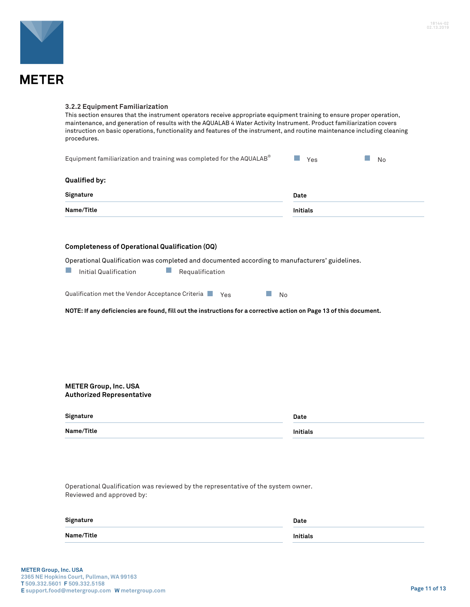

#### **3.2.2 Equipment Familiarization**

This section ensures that the instrument operators receive appropriate equipment training to ensure proper operation, maintenance, and generation of results with the AQUALAB 4 Water Activity Instrument. Product familiarization covers instruction on basic operations, functionality and features of the instrument, and routine maintenance including cleaning procedures.

| Equipment familiarization and training was completed for the AQUALAB® | Yes  | <b>No</b> |
|-----------------------------------------------------------------------|------|-----------|
|                                                                       |      |           |
| Qualified by:                                                         |      |           |
| Signature                                                             | Date |           |
| <b>Name/Title</b><br><b>Initials</b>                                  |      |           |

#### **Completeness of Operational Qualification (OQ)**

Operational Qualification was completed and documented according to manufacturers' guidelines.

| Initial Qualification | Requalification |
|-----------------------|-----------------|
|                       |                 |

| Qualification met the Vendor Acceptance Criteria | Yes |  | No |
|--------------------------------------------------|-----|--|----|
|--------------------------------------------------|-----|--|----|

**NOTE: If any deficiencies are found, fill out the instructions for a corrective action on Page 13 of this document.**

#### **METER Group, Inc. USA Authorized Representative**

| Signature  | Date            |
|------------|-----------------|
| Name/Title | <b>Initials</b> |

Operational Qualification was reviewed by the representative of the system owner. Reviewed and approved by:

| Signature  | Date            |
|------------|-----------------|
| Name/Title | <b>Initials</b> |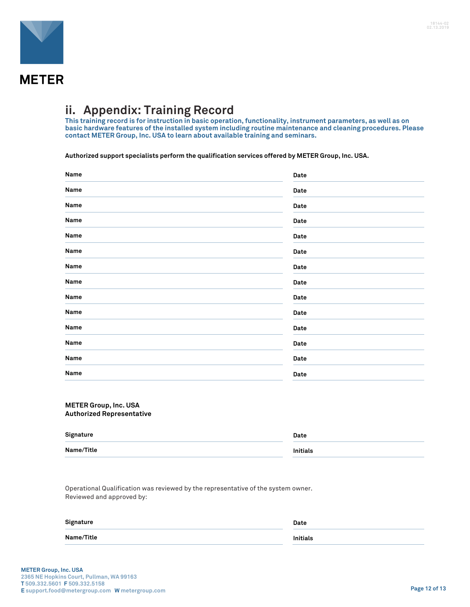

### **ii. Appendix: Training Record**

**This training record is for instruction in basic operation, functionality, instrument parameters, as well as on basic hardware features of the installed system including routine maintenance and cleaning procedures. Please contact METER Group, Inc. USA to learn about available training and seminars.**

**Authorized support specialists perform the qualification services offered by METER Group, Inc. USA.**

| Name | Date |
|------|------|
| Name | Date |
| Name | Date |
| Name | Date |
| Name | Date |
| Name | Date |
| Name | Date |
| Name | Date |
| Name | Date |
| Name | Date |
| Name | Date |
| Name | Date |
| Name | Date |
| Name | Date |

#### **METER Group, Inc. USA Authorized Representative**

| Signature  | Date            |
|------------|-----------------|
| Name/Title | <b>Initials</b> |

Operational Qualification was reviewed by the representative of the system owner. Reviewed and approved by:

| Signature         | Date     |
|-------------------|----------|
| <b>Name/Title</b> | Initials |